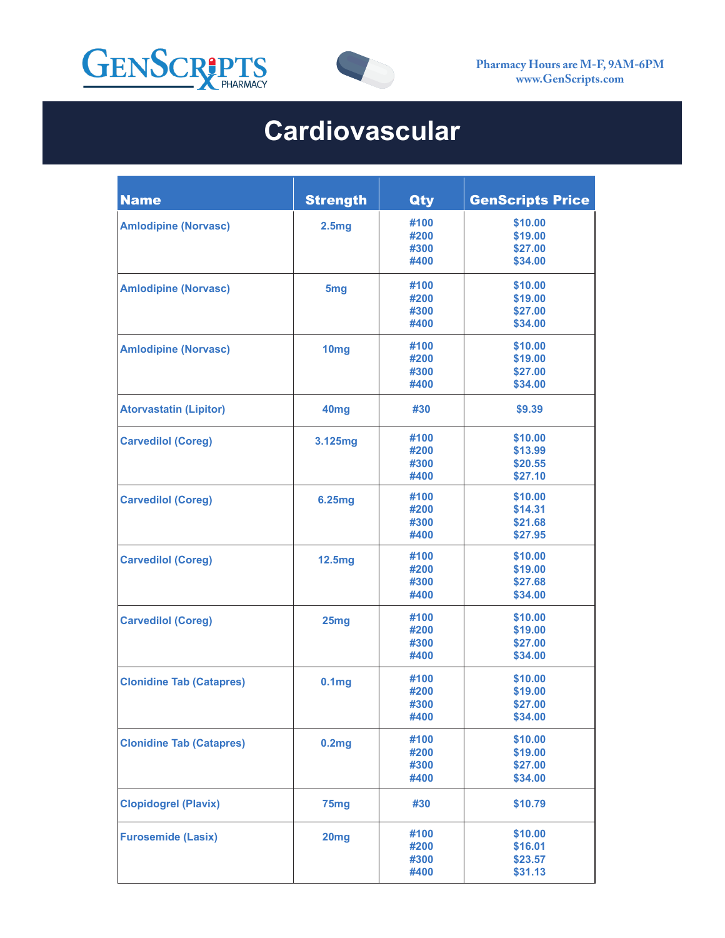



## **Cardiovascular**

| <b>Name</b>                     | <b>Strength</b>   | Qty  | <b>GenScripts Price</b> |
|---------------------------------|-------------------|------|-------------------------|
| <b>Amlodipine (Norvasc)</b>     | 2.5 <sub>mg</sub> | #100 | \$10.00                 |
|                                 |                   | #200 | \$19.00                 |
|                                 |                   | #300 | \$27.00                 |
|                                 |                   | #400 | \$34.00                 |
| <b>Amlodipine (Norvasc)</b>     | 5 <sub>mg</sub>   | #100 | \$10.00                 |
|                                 |                   | #200 | \$19.00                 |
|                                 |                   | #300 | \$27.00                 |
|                                 |                   | #400 | \$34.00                 |
| <b>Amlodipine (Norvasc)</b>     | 10mg              | #100 | \$10.00                 |
|                                 |                   | #200 | \$19.00                 |
|                                 |                   | #300 | \$27.00                 |
|                                 |                   | #400 | \$34.00                 |
| <b>Atorvastatin (Lipitor)</b>   | 40 <sub>mg</sub>  | #30  | \$9.39                  |
| <b>Carvedilol (Coreg)</b>       | 3.125mg           | #100 | \$10.00                 |
|                                 |                   | #200 | \$13.99                 |
|                                 |                   | #300 | \$20.55                 |
|                                 |                   | #400 | \$27.10                 |
| <b>Carvedilol (Coreg)</b>       | 6.25mg            | #100 | \$10.00                 |
|                                 |                   | #200 | \$14.31                 |
|                                 |                   | #300 | \$21.68                 |
|                                 |                   | #400 | \$27.95                 |
| <b>Carvedilol (Coreg)</b>       | <b>12.5mg</b>     | #100 | \$10.00                 |
|                                 |                   | #200 | \$19.00                 |
|                                 |                   | #300 | \$27.68                 |
|                                 |                   | #400 | \$34.00                 |
| <b>Carvedilol (Coreg)</b>       | 25mg              | #100 | \$10.00                 |
|                                 |                   | #200 | \$19.00                 |
|                                 |                   | #300 | \$27.00                 |
|                                 |                   | #400 | \$34.00                 |
| <b>Clonidine Tab (Catapres)</b> | 0.1 <sub>mg</sub> | #100 | \$10.00                 |
|                                 |                   | #200 | \$19.00                 |
|                                 |                   | #300 | \$27.00                 |
|                                 |                   | #400 | \$34.00                 |
| <b>Clonidine Tab (Catapres)</b> | 0.2mg             | #100 | \$10.00                 |
|                                 |                   | #200 | \$19.00                 |
|                                 |                   | #300 | \$27.00                 |
|                                 |                   | #400 | \$34.00                 |
| <b>Clopidogrel (Plavix)</b>     | 75 <sub>mg</sub>  | #30  | \$10.79                 |
| <b>Furosemide (Lasix)</b>       | 20 <sub>mg</sub>  | #100 | \$10.00                 |
|                                 |                   | #200 | \$16.01                 |
|                                 |                   | #300 | \$23.57                 |
|                                 |                   | #400 | \$31.13                 |
|                                 |                   |      |                         |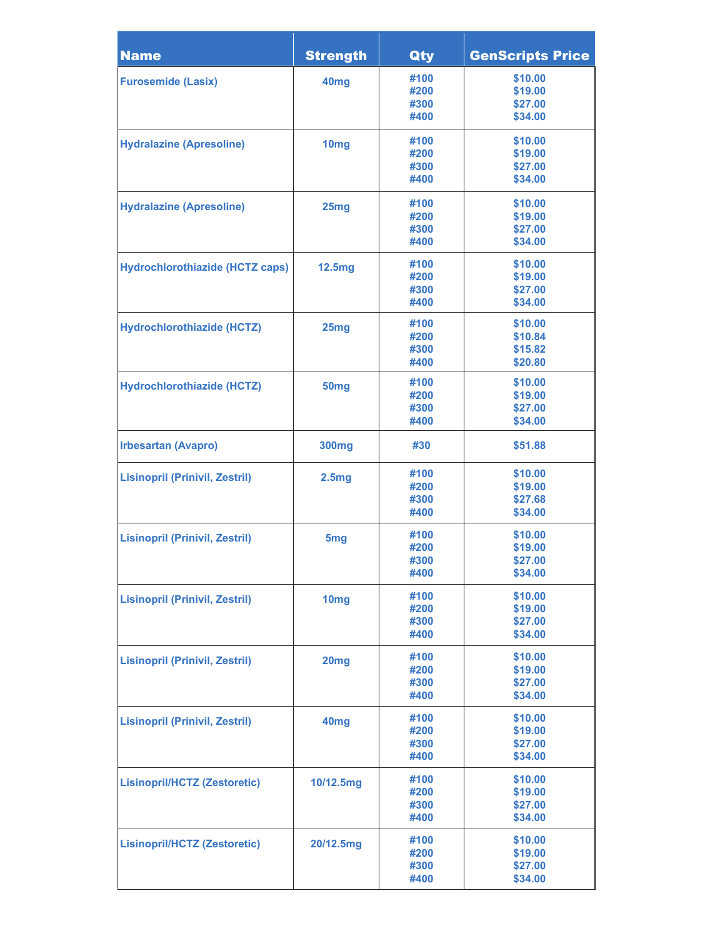| <b>Name</b>                            | <b>Strength</b>   | Qty          | <b>GenScripts Price</b> |
|----------------------------------------|-------------------|--------------|-------------------------|
| <b>Furosemide (Lasix)</b>              | 40 <sub>mg</sub>  | #100         | \$10.00                 |
|                                        |                   | #200         | \$19.00                 |
|                                        |                   | #300         | \$27.00                 |
|                                        |                   | #400         | \$34.00                 |
| <b>Hydralazine (Apresoline)</b>        | 10 <sub>mg</sub>  | #100         | \$10.00                 |
|                                        |                   | #200         | \$19.00                 |
|                                        |                   | #300<br>#400 | \$27.00<br>\$34.00      |
|                                        |                   |              |                         |
| <b>Hydralazine (Apresoline)</b>        | 25mg              | #100<br>#200 | \$10.00<br>\$19.00      |
|                                        |                   | #300         | \$27.00                 |
|                                        |                   | #400         | \$34.00                 |
|                                        |                   | #100         | \$10.00                 |
| <b>Hydrochlorothiazide (HCTZ caps)</b> | <b>12.5mg</b>     | #200         | \$19.00                 |
|                                        |                   | #300         | \$27.00                 |
|                                        |                   | #400         | \$34.00                 |
| <b>Hydrochlorothiazide (HCTZ)</b>      | 25mg              | #100         | \$10.00                 |
|                                        |                   | #200         | \$10.84                 |
|                                        |                   | #300         | \$15.82                 |
|                                        |                   | #400         | \$20.80                 |
| <b>Hydrochlorothiazide (HCTZ)</b>      | 50 <sub>mg</sub>  | #100         | \$10.00                 |
|                                        |                   | #200         | \$19.00                 |
|                                        |                   | #300         | \$27.00                 |
|                                        |                   | #400         | \$34.00                 |
| <b>Irbesartan (Avapro)</b>             | <b>300mg</b>      | #30          | \$51.88                 |
| <b>Lisinopril (Prinivil, Zestril)</b>  | 2.5 <sub>mg</sub> | #100         | \$10.00                 |
|                                        |                   | #200         | \$19.00                 |
|                                        |                   | #300         | \$27.68                 |
|                                        |                   | #400         | \$34.00                 |
| <b>Lisinopril (Prinivil, Zestril)</b>  | 5 <sub>mg</sub>   | #100         | \$10.00                 |
|                                        |                   | #200         | \$19.00                 |
|                                        |                   | #300         | \$27.00                 |
|                                        |                   | #400         | \$34.00                 |
| <b>Lisinopril (Prinivil, Zestril)</b>  | 10mg              | #100         | \$10.00                 |
|                                        |                   | #200         | \$19.00                 |
|                                        |                   | #300<br>#400 | \$27.00<br>\$34.00      |
|                                        |                   |              |                         |
| <b>Lisinopril (Prinivil, Zestril)</b>  | 20mg              | #100         | \$10.00                 |
|                                        |                   | #200<br>#300 | \$19.00<br>\$27.00      |
|                                        |                   | #400         | \$34.00                 |
|                                        |                   | #100         | \$10.00                 |
| <b>Lisinopril (Prinivil, Zestril)</b>  | 40 <sub>mg</sub>  | #200         | \$19.00                 |
|                                        |                   | #300         | \$27.00                 |
|                                        |                   | #400         | \$34.00                 |
| <b>Lisinopril/HCTZ (Zestoretic)</b>    |                   | #100         | \$10.00                 |
|                                        | 10/12.5mg         | #200         | \$19.00                 |
|                                        |                   | #300         | \$27.00                 |
|                                        |                   | #400         | \$34.00                 |
| <b>Lisinopril/HCTZ (Zestoretic)</b>    | 20/12.5mg         | #100         | \$10.00                 |
|                                        |                   | #200         | \$19.00                 |
|                                        |                   | #300         | \$27.00                 |
|                                        |                   | #400         | \$34.00                 |